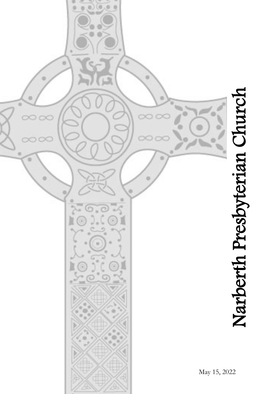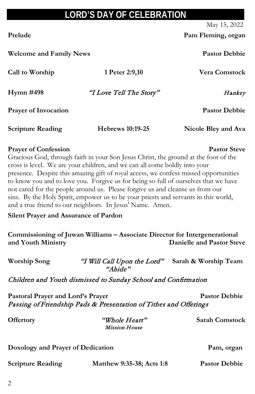## **LORD'S DAY OF CELEBRATION**

May 15, 2022

Prelude Prelude Pam **Fleming**, organ

| Call to Worship                                                                                   | 1 Peter 2:9,10                                                                                                                                                                                                                                                                                                                                                                                                                                                                                                                                                                                                                                                      | <b>Vera Comstock</b>                                    |
|---------------------------------------------------------------------------------------------------|---------------------------------------------------------------------------------------------------------------------------------------------------------------------------------------------------------------------------------------------------------------------------------------------------------------------------------------------------------------------------------------------------------------------------------------------------------------------------------------------------------------------------------------------------------------------------------------------------------------------------------------------------------------------|---------------------------------------------------------|
| Hymn #498                                                                                         | "I Love Tell The Story"                                                                                                                                                                                                                                                                                                                                                                                                                                                                                                                                                                                                                                             | Hankey                                                  |
| <b>Prayer of Invocation</b>                                                                       |                                                                                                                                                                                                                                                                                                                                                                                                                                                                                                                                                                                                                                                                     | <b>Pastor Debbie</b>                                    |
| <b>Scripture Reading</b>                                                                          | <b>Hebrews 10:19-25</b>                                                                                                                                                                                                                                                                                                                                                                                                                                                                                                                                                                                                                                             | Nicole Bley and Ava                                     |
| <b>Prayer of Confession</b><br><b>Silent Prayer and Assurance of Pardon</b><br>and Youth Ministry | Gracious God, through faith in your Son Jesus Christ, the ground at the foot of the<br>cross is level. We are your children, and we can all come boldly into your<br>presence. Despite this amazing gift of royal access, we confess missed opportunities<br>to know you and to love you. Forgive us for being so full of ourselves that we have<br>not cared for the people around us. Please forgive us and cleanse us from our<br>sins. By the Holy Spirit, empower us to be your priests and servants in this world,<br>and a true friend to our neighbors. In Jesus' Name. Amen.<br>Commissioning of Juwan Williams - Associate Director for Intergenerational | <b>Pastor Steve</b><br><b>Danielle and Pastor Steve</b> |
| <b>Worship Song</b>                                                                               | "I Will Call Upon the Lord" Sarah & Worship Team<br>"Abide"                                                                                                                                                                                                                                                                                                                                                                                                                                                                                                                                                                                                         |                                                         |
|                                                                                                   | Children and Youth dismissed to Sunday School and Confirmation                                                                                                                                                                                                                                                                                                                                                                                                                                                                                                                                                                                                      |                                                         |
| Pastoral Prayer and Lord's Prayer                                                                 | Passing of Friendship Pads & Presentation of Tithes and Offerings                                                                                                                                                                                                                                                                                                                                                                                                                                                                                                                                                                                                   | <b>Pastor Debbie</b>                                    |
| Offertory                                                                                         | "Whole Heart"<br><b>Mission House</b>                                                                                                                                                                                                                                                                                                                                                                                                                                                                                                                                                                                                                               | <b>Sarah Comstock</b>                                   |

### **Doxology and Prayer of Dedication Pam, organ**

| <b>Scripture Reading</b> | Matthew 9:35-38; Acts 1:8 | <b>Pastor Debbie</b> |
|--------------------------|---------------------------|----------------------|
|                          |                           |                      |

**Welcome and Family News Pastor Debbie**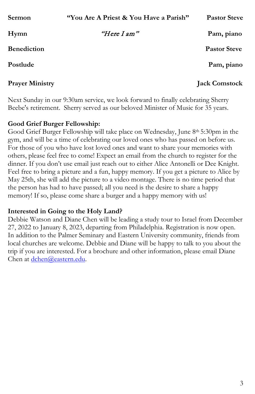| <b>Sermon</b>          | "You Are A Priest & You Have a Parish" | <b>Pastor Steve</b>  |
|------------------------|----------------------------------------|----------------------|
| Hymn                   | "Here I am"                            | Pam, piano           |
| <b>Benediction</b>     |                                        | <b>Pastor Steve</b>  |
| Postlude               |                                        | Pam, piano           |
| <b>Prayer Ministry</b> |                                        | <b>Jack Comstock</b> |

Next Sunday in our 9:30am service, we look forward to finally celebrating Sherry Beebe's retirement. Sherry served as our beloved Minister of Music for 35 years.

#### **Good Grief Burger Fellowship:**

Good Grief Burger Fellowship will take place on Wednesday, June 8th 5:30pm in the gym, and will be a time of celebrating our loved ones who has passed on before us. For those of you who have lost loved ones and want to share your memories with others, please feel free to come! Expect an email from the church to register for the dinner. If you don't use email just reach out to either Alice Antonelli or Dee Knight. Feel free to bring a picture and a fun, happy memory. If you get a picture to Alice by May 25th, she will add the picture to a video montage. There is no time period that the person has had to have passed; all you need is the desire to share a happy memory! If so, please come share a burger and a happy memory with us!

#### **Interested in Going to the Holy Land?**

Debbie Watson and Diane Chen will be leading a study tour to Israel from December 27, 2022 to January 8, 2023, departing from Philadelphia. Registration is now open. In addition to the Palmer Seminary and Eastern University community, friends from local churches are welcome. Debbie and Diane will be happy to talk to you about the trip if you are interested. For a brochure and other information, please email Diane Chen at [dchen@eastern.edu.](mailto:dchen@eastern.edu)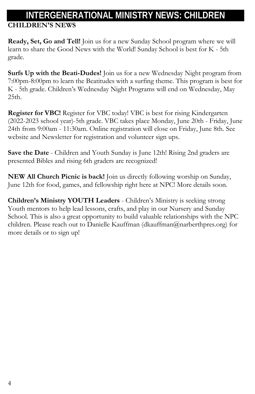# **INTERGENERATIONAL MINISTRY NEWS: CHILDREN**

**CHILDREN'S NEWS**

**Ready, Set, Go and Tell!** Join us for a new Sunday School program where we will learn to share the Good News with the World! Sunday School is best for K - 5th grade.

**Surfs Up with the Beati-Dudes!** Join us for a new Wednesday Night program from 7:00pm-8:00pm to learn the Beatitudes with a surfing theme. This program is best for K - 5th grade. Children's Wednesday Night Programs will end on Wednesday, May 25th.

**Register for VBC!** Register for VBC today! VBC is best for rising Kindergarten (2022-2023 school year)-5th grade. VBC takes place Monday, June 20th - Friday, June 24th from 9:00am - 11:30am. Online registration will close on Friday, June 8th. See website and Newsletter for registration and volunteer sign ups.

**Save the Date** - Children and Youth Sunday is June 12th! Rising 2nd graders are presented Bibles and rising 6th graders are recognized!

**NEW All Church Picnic is back!** Join us directly following worship on Sunday, June 12th for food, games, and fellowship right here at NPC! More details soon.

**Children's Ministry YOUTH Leaders** - Children's Ministry is seeking strong Youth mentors to help lead lessons, crafts, and play in our Nursery and Sunday School. This is also a great opportunity to build valuable relationships with the NPC children. Please reach out to Danielle Kauffman (dkauffman@narberthpres.org) for more details or to sign up!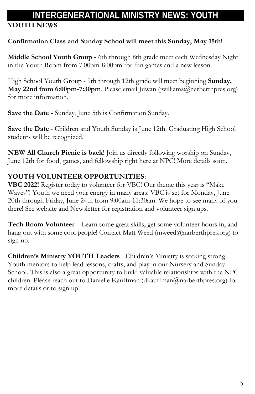## **INTERGENERATIONAL MINISTRY NEWS: YOUTH**

## **YOUTH NEWS**

### **Confirmation Class and Sunday School will meet this Sunday, May 15th!**

**Middle School Youth Group -** 6th through 8th grade meet each Wednesday Night in the Youth Room from 7:00pm-8:00pm for fun games and a new lesson.

High School Youth Group - 9th through 12th grade will meet beginning **Sunday, May 22nd from 6:00pm-7:30pm**. Please email Juwan [\(jwilliams@narberthpres.org\)](mailto:jwilliams@narberthpres.org) for more information.

**Save the Date -** Sunday, June 5th is Confirmation Sunday.

**Save the Date** - Children and Youth Sunday is June 12th! Graduating High School students will be recognized.

**NEW All Church Picnic is back!** Join us directly following worship on Sunday, June 12th for food, games, and fellowship right here at NPC! More details soon.

## **YOUTH VOLUNTEER OPPORTUNITIES:**

**VBC 2022!** Register today to volunteer for VBC! Our theme this year is "Make Waves"! Youth we need your energy in many areas. VBC is set for Monday, June 20th through Friday, June 24th from 9:00am-11:30am. We hope to see many of you there! See website and Newsletter for registration and volunteer sign ups.

**Tech Room Volunteer** – Learn some great skills, get some volunteer hours in, and hang out with some cool people! Contact Matt Weed (mweed@narberthpres.org) to sign up.

**Children's Ministry YOUTH Leaders** - Children's Ministry is seeking strong Youth mentors to help lead lessons, crafts, and play in our Nursery and Sunday School. This is also a great opportunity to build valuable relationships with the NPC children. Please reach out to Danielle Kauffman (dkauffman@narberthpres.org) for more details or to sign up!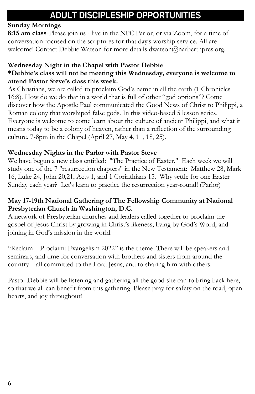## **ADULT DISCIPLESHIP OPPORTUNITIES**

## **Sunday Mornings**

**8:15 am class**-Please join us - live in the NPC Parlor, or via Zoom, for a time of conversation focused on the scriptures for that day's worship service. All are welcome! Contact Debbie Watson for more details  $d$ watson@narberthpres.org.

## **Wednesday Night in the Chapel with Pastor Debbie**

## **\*Debbie's class will not be meeting this Wednesday, everyone is welcome to attend Pastor Steve's class this week.**

As Christians, we are called to proclaim God's name in all the earth (1 Chronicles 16:8). How do we do that in a world that is full of other "god options"? Come discover how the Apostle Paul communicated the Good News of Christ to Philippi, a Roman colony that worshiped false gods. In this video-based 5 lesson series, Everyone is welcome to come learn about the culture of ancient Philippi, and what it means today to be a colony of heaven, rather than a reflection of the surrounding culture. 7-8pm in the Chapel (April 27, May 4, 11, 18, 25).

## **Wednesday Nights in the Parlor with Pastor Steve**

We have begun a new class entitled: "The Practice of Easter." Each week we will study one of the 7 "resurrection chapters" in the New Testament: Matthew 28, Mark 16, Luke 24, John 20,21, Acts 1, and 1 Corinthians 15. Why settle for one Easter Sunday each year? Let's learn to practice the resurrection year-round! (Parlor)

### **May 17-19th National Gathering of The Fellowship Community at National Presbyterian Church in Washington, D.C.**

A network of Presbyterian churches and leaders called together to proclaim the gospel of Jesus Christ by growing in Christ's likeness, living by God's Word, and joining in God's mission in the world.

"Reclaim – Proclaim: Evangelism 2022" is the theme. There will be speakers and seminars, and time for conversation with brothers and sisters from around the country – all committed to the Lord Jesus, and to sharing him with others.

Pastor Debbie will be listening and gathering all the good she can to bring back here, so that we all can benefit from this gathering. Please pray for safety on the road, open hearts, and joy throughout!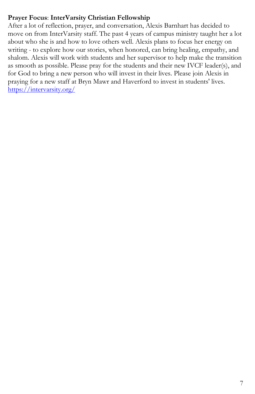### **Prayer Focus**: **InterVarsity Christian Fellowship**

After a lot of reflection, prayer, and conversation, Alexis Barnhart has decided to move on from InterVarsity staff. The past 4 years of campus ministry taught her a lot about who she is and how to love others well. Alexis plans to focus her energy on writing - to explore how our stories, when honored, can bring healing, empathy, and shalom. Alexis will work with students and her supervisor to help make the transition as smooth as possible. Please pray for the students and their new IVCF leader(s), and for God to bring a new person who will invest in their lives. Please join Alexis in praying for a new staff at Bryn Mawr and Haverford to invest in students' lives. <https://intervarsity.org/>